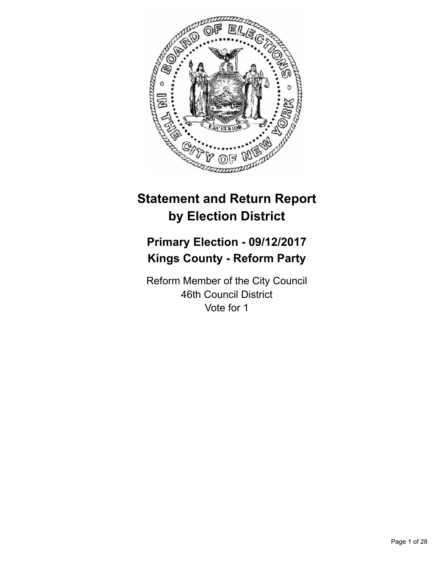

# **Statement and Return Report by Election District**

# **Primary Election - 09/12/2017 Kings County - Reform Party**

Reform Member of the City Council 46th Council District Vote for 1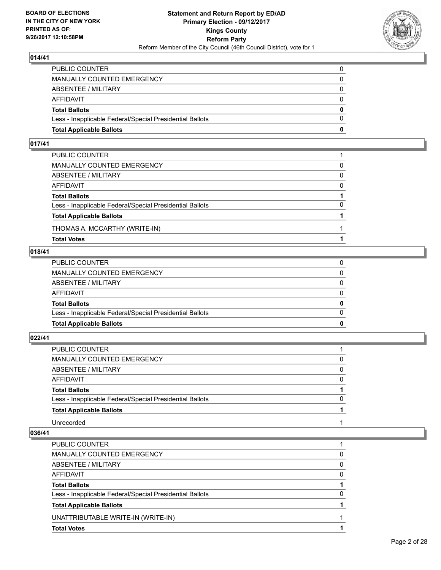

| <b>Total Applicable Ballots</b>                          | 0        |
|----------------------------------------------------------|----------|
| Less - Inapplicable Federal/Special Presidential Ballots | $\Omega$ |
| <b>Total Ballots</b>                                     | $\bf{0}$ |
| AFFIDAVIT                                                | $\Omega$ |
| <b>ABSENTEE / MILITARY</b>                               | $\Omega$ |
| <b>MANUALLY COUNTED EMERGENCY</b>                        | 0        |
| PUBLIC COUNTER                                           | 0        |

# **017/41**

| PUBLIC COUNTER                                           |          |
|----------------------------------------------------------|----------|
| MANUALLY COUNTED EMERGENCY                               | 0        |
| ABSENTEE / MILITARY                                      | $\Omega$ |
| AFFIDAVIT                                                | $\Omega$ |
| <b>Total Ballots</b>                                     |          |
| Less - Inapplicable Federal/Special Presidential Ballots | $\Omega$ |
| <b>Total Applicable Ballots</b>                          |          |
| THOMAS A. MCCARTHY (WRITE-IN)                            |          |
| <b>Total Votes</b>                                       |          |

# **018/41**

| PUBLIC COUNTER                                           | 0            |
|----------------------------------------------------------|--------------|
|                                                          |              |
| MANUALLY COUNTED EMERGENCY                               | $\Omega$     |
|                                                          |              |
| ABSENTEE / MILITARY                                      | $\Omega$     |
|                                                          |              |
| AFFIDAVIT                                                | $\Omega$     |
| <b>Total Ballots</b>                                     | $\mathbf{0}$ |
|                                                          |              |
| Less - Inapplicable Federal/Special Presidential Ballots | $\Omega$     |
|                                                          |              |
| <b>Total Applicable Ballots</b>                          | 0            |
|                                                          |              |

# **022/41**

| PUBLIC COUNTER                                           |          |
|----------------------------------------------------------|----------|
| MANUALLY COUNTED EMERGENCY                               | 0        |
| ABSENTEE / MILITARY                                      | 0        |
| <b>AFFIDAVIT</b>                                         | $\Omega$ |
| <b>Total Ballots</b>                                     |          |
| Less - Inapplicable Federal/Special Presidential Ballots | 0        |
| <b>Total Applicable Ballots</b>                          |          |
| Unrecorded                                               |          |

| <b>PUBLIC COUNTER</b>                                    |          |
|----------------------------------------------------------|----------|
| MANUALLY COUNTED EMERGENCY                               | 0        |
| ABSENTEE / MILITARY                                      | 0        |
| AFFIDAVIT                                                | $\Omega$ |
| <b>Total Ballots</b>                                     |          |
| Less - Inapplicable Federal/Special Presidential Ballots | 0        |
| <b>Total Applicable Ballots</b>                          |          |
| UNATTRIBUTABLE WRITE-IN (WRITE-IN)                       |          |
| <b>Total Votes</b>                                       |          |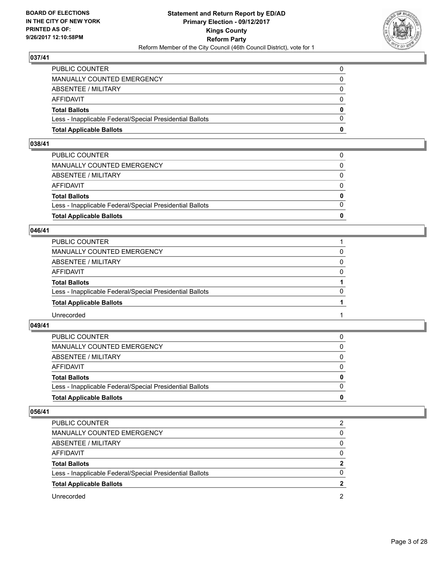

| <b>Total Applicable Ballots</b>                          | o        |
|----------------------------------------------------------|----------|
| Less - Inapplicable Federal/Special Presidential Ballots | 0        |
| <b>Total Ballots</b>                                     | $\bf{0}$ |
| <b>AFFIDAVIT</b>                                         | $\Omega$ |
| <b>ABSENTEE / MILITARY</b>                               | 0        |
| <b>MANUALLY COUNTED EMERGENCY</b>                        | $\Omega$ |
| PUBLIC COUNTER                                           | 0        |

# **038/41**

| PUBLIC COUNTER                                           | 0            |
|----------------------------------------------------------|--------------|
|                                                          |              |
| MANUALLY COUNTED EMERGENCY                               | 0            |
|                                                          |              |
| ABSENTEE / MILITARY                                      | $\Omega$     |
|                                                          |              |
|                                                          |              |
| AFFIDAVIT                                                | $\Omega$     |
|                                                          |              |
| <b>Total Ballots</b>                                     | $\mathbf{0}$ |
|                                                          |              |
| Less - Inapplicable Federal/Special Presidential Ballots | $\Omega$     |
|                                                          |              |
| <b>Total Applicable Ballots</b>                          | 0            |
|                                                          |              |

#### **046/41**

| PUBLIC COUNTER                                           |          |
|----------------------------------------------------------|----------|
| MANUALLY COUNTED EMERGENCY                               | 0        |
| ABSENTEE / MILITARY                                      | $\Omega$ |
| AFFIDAVIT                                                | $\Omega$ |
| <b>Total Ballots</b>                                     |          |
| Less - Inapplicable Federal/Special Presidential Ballots | $\Omega$ |
| <b>Total Applicable Ballots</b>                          |          |
| Unrecorded                                               |          |

#### **049/41**

| <b>Total Applicable Ballots</b>                          | 0        |
|----------------------------------------------------------|----------|
| Less - Inapplicable Federal/Special Presidential Ballots | $\Omega$ |
| <b>Total Ballots</b>                                     | 0        |
| AFFIDAVIT                                                | 0        |
| ABSENTEE / MILITARY                                      | 0        |
| MANUALLY COUNTED EMERGENCY                               | 0        |
| <b>PUBLIC COUNTER</b>                                    |          |

| <b>PUBLIC COUNTER</b>                                    | 2        |
|----------------------------------------------------------|----------|
| MANUALLY COUNTED EMERGENCY                               | 0        |
| ABSENTEE / MILITARY                                      | 0        |
| AFFIDAVIT                                                | $\Omega$ |
| <b>Total Ballots</b>                                     | 2        |
| Less - Inapplicable Federal/Special Presidential Ballots | 0        |
| <b>Total Applicable Ballots</b>                          |          |
| Unrecorded                                               | 2        |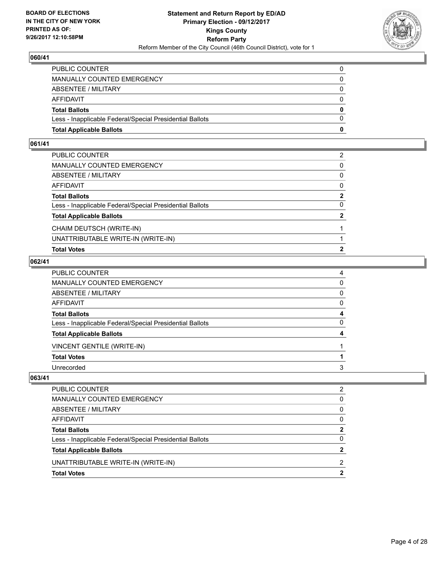

| <b>Total Applicable Ballots</b>                          | 0        |
|----------------------------------------------------------|----------|
| Less - Inapplicable Federal/Special Presidential Ballots | $\Omega$ |
| <b>Total Ballots</b>                                     | 0        |
| <b>AFFIDAVIT</b>                                         | 0        |
| ABSENTEE / MILITARY                                      | $\Omega$ |
| <b>MANUALLY COUNTED EMERGENCY</b>                        |          |
| PUBLIC COUNTER                                           |          |

# **061/41**

| PUBLIC COUNTER                                           | 2              |
|----------------------------------------------------------|----------------|
| MANUALLY COUNTED EMERGENCY                               | $\mathbf{0}$   |
| ABSENTEE / MILITARY                                      | $\mathbf{0}$   |
| AFFIDAVIT                                                | $\mathbf{0}$   |
| Total Ballots                                            | $\mathbf{2}$   |
| Less - Inapplicable Federal/Special Presidential Ballots | 0              |
| <b>Total Applicable Ballots</b>                          | $\overline{2}$ |
| CHAIM DEUTSCH (WRITE-IN)                                 |                |
| UNATTRIBUTABLE WRITE-IN (WRITE-IN)                       |                |
| <b>Total Votes</b>                                       | 2              |
|                                                          |                |

# **062/41**

| PUBLIC COUNTER                                           | 4            |
|----------------------------------------------------------|--------------|
| MANUALLY COUNTED EMERGENCY                               | 0            |
| ABSENTEE / MILITARY                                      | 0            |
| AFFIDAVIT                                                | $\mathbf{0}$ |
| Total Ballots                                            | 4            |
| Less - Inapplicable Federal/Special Presidential Ballots | $\mathbf{0}$ |
| <b>Total Applicable Ballots</b>                          | 4            |
| <b>VINCENT GENTILE (WRITE-IN)</b>                        |              |
| <b>Total Votes</b>                                       |              |
| Unrecorded                                               | 3            |

| <b>Total Votes</b>                                       |              |
|----------------------------------------------------------|--------------|
| UNATTRIBUTABLE WRITE-IN (WRITE-IN)                       | 2            |
| <b>Total Applicable Ballots</b>                          | 2            |
| Less - Inapplicable Federal/Special Presidential Ballots | 0            |
| <b>Total Ballots</b>                                     | 2            |
| <b>AFFIDAVIT</b>                                         | $\Omega$     |
| ABSENTEE / MILITARY                                      | 0            |
| MANUALLY COUNTED EMERGENCY                               | <sup>0</sup> |
| PUBLIC COUNTER                                           | 2            |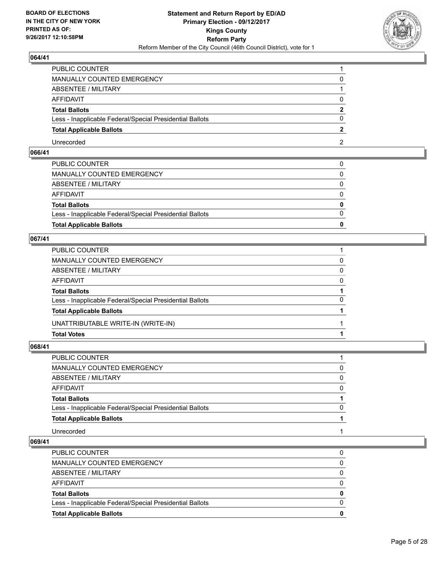

| PUBLIC COUNTER                                           |   |
|----------------------------------------------------------|---|
| MANUALLY COUNTED EMERGENCY                               |   |
| <b>ABSENTEE / MILITARY</b>                               |   |
| AFFIDAVIT                                                |   |
| <b>Total Ballots</b>                                     | 2 |
| Less - Inapplicable Federal/Special Presidential Ballots |   |
| <b>Total Applicable Ballots</b>                          |   |
| Unrecorded                                               |   |

# **066/41**

| <b>Total Applicable Ballots</b>                          | 0            |
|----------------------------------------------------------|--------------|
|                                                          |              |
| Less - Inapplicable Federal/Special Presidential Ballots | $\Omega$     |
| <b>Total Ballots</b>                                     | $\mathbf{0}$ |
| AFFIDAVIT                                                | $\Omega$     |
| ABSENTEE / MILITARY                                      | $\Omega$     |
| MANUALLY COUNTED EMERGENCY                               | 0            |
| PUBLIC COUNTER                                           | $\Omega$     |

# **067/41**

| PUBLIC COUNTER                                           |          |
|----------------------------------------------------------|----------|
| MANUALLY COUNTED EMERGENCY                               | 0        |
| ABSENTEE / MILITARY                                      | 0        |
| AFFIDAVIT                                                | $\Omega$ |
| <b>Total Ballots</b>                                     |          |
| Less - Inapplicable Federal/Special Presidential Ballots | $\Omega$ |
| <b>Total Applicable Ballots</b>                          |          |
| UNATTRIBUTABLE WRITE-IN (WRITE-IN)                       |          |
| <b>Total Votes</b>                                       |          |

# **068/41**

| PUBLIC COUNTER                                           |          |
|----------------------------------------------------------|----------|
| MANUALLY COUNTED EMERGENCY                               | 0        |
| ABSENTEE / MILITARY                                      | $\Omega$ |
| AFFIDAVIT                                                | $\Omega$ |
| <b>Total Ballots</b>                                     |          |
| Less - Inapplicable Federal/Special Presidential Ballots | $\Omega$ |
| <b>Total Applicable Ballots</b>                          |          |
| Unrecorded                                               |          |

| $\Omega$ |
|----------|
| 0        |
| $\Omega$ |
| 0        |
| $\Omega$ |
|          |
|          |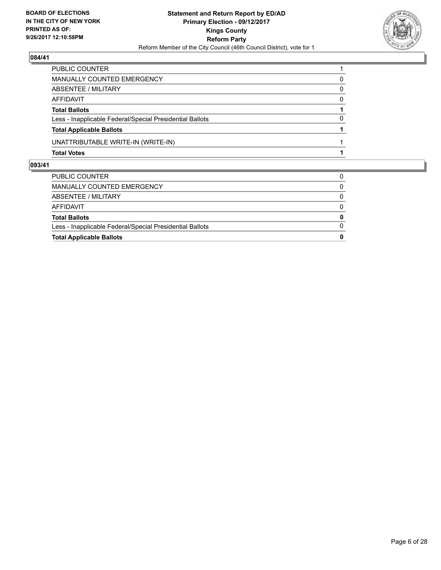

| PUBLIC COUNTER                                           |          |
|----------------------------------------------------------|----------|
| MANUALLY COUNTED EMERGENCY                               | 0        |
| ABSENTEE / MILITARY                                      | $\Omega$ |
| <b>AFFIDAVIT</b>                                         | $\Omega$ |
| <b>Total Ballots</b>                                     |          |
| Less - Inapplicable Federal/Special Presidential Ballots | 0        |
| <b>Total Applicable Ballots</b>                          |          |
| UNATTRIBUTABLE WRITE-IN (WRITE-IN)                       |          |
| <b>Total Votes</b>                                       |          |

| $\Omega$ |
|----------|
|          |
| $\bf{0}$ |
| 0        |
| 0        |
| 0        |
| 0        |
|          |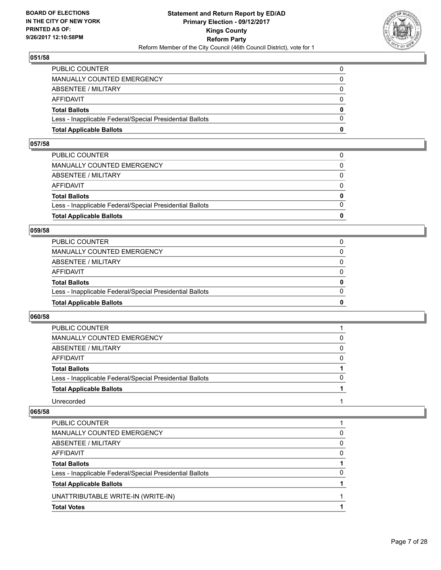

| <b>Total Applicable Ballots</b>                          | 0        |
|----------------------------------------------------------|----------|
| Less - Inapplicable Federal/Special Presidential Ballots | $\Omega$ |
| <b>Total Ballots</b>                                     | $\bf{0}$ |
| AFFIDAVIT                                                | $\Omega$ |
| <b>ABSENTEE / MILITARY</b>                               | $\Omega$ |
| <b>MANUALLY COUNTED EMERGENCY</b>                        | 0        |
| PUBLIC COUNTER                                           | 0        |

#### **057/58**

| <b>Total Applicable Ballots</b>                          | 0            |
|----------------------------------------------------------|--------------|
|                                                          |              |
| Less - Inapplicable Federal/Special Presidential Ballots | $\Omega$     |
| <b>Total Ballots</b>                                     | $\mathbf{0}$ |
| AFFIDAVIT                                                | $\Omega$     |
| ABSENTEE / MILITARY                                      | $\Omega$     |
| MANUALLY COUNTED EMERGENCY                               | 0            |
| PUBLIC COUNTER                                           |              |
|                                                          |              |

#### **059/58**

| <b>Total Applicable Ballots</b>                          | 0        |
|----------------------------------------------------------|----------|
| Less - Inapplicable Federal/Special Presidential Ballots | $\Omega$ |
| <b>Total Ballots</b>                                     | 0        |
| <b>AFFIDAVIT</b>                                         | 0        |
| ABSENTEE / MILITARY                                      | 0        |
| MANUALLY COUNTED EMERGENCY                               | 0        |
| PUBLIC COUNTER                                           |          |

#### **060/58**

| <b>PUBLIC COUNTER</b>                                    |              |
|----------------------------------------------------------|--------------|
| MANUALLY COUNTED EMERGENCY                               | 0            |
| ABSENTEE / MILITARY                                      | 0            |
| <b>AFFIDAVIT</b>                                         | 0            |
| <b>Total Ballots</b>                                     |              |
| Less - Inapplicable Federal/Special Presidential Ballots | <sup>0</sup> |
| <b>Total Applicable Ballots</b>                          |              |
| Unrecorded                                               |              |

| PUBLIC COUNTER                                           |              |
|----------------------------------------------------------|--------------|
| <b>MANUALLY COUNTED EMERGENCY</b>                        | 0            |
| ABSENTEE / MILITARY                                      | <sup>0</sup> |
| AFFIDAVIT                                                | 0            |
| <b>Total Ballots</b>                                     |              |
| Less - Inapplicable Federal/Special Presidential Ballots | O            |
| <b>Total Applicable Ballots</b>                          |              |
| UNATTRIBUTABLE WRITE-IN (WRITE-IN)                       |              |
| <b>Total Votes</b>                                       |              |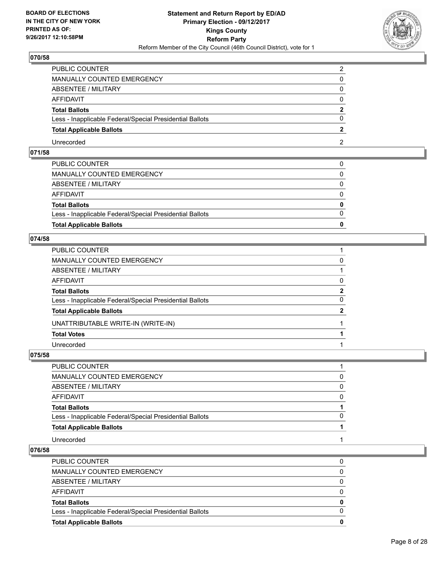

| PUBLIC COUNTER                                           | ◠ |
|----------------------------------------------------------|---|
| <b>MANUALLY COUNTED EMERGENCY</b>                        |   |
| <b>ABSENTEE / MILITARY</b>                               |   |
| AFFIDAVIT                                                |   |
| <b>Total Ballots</b>                                     | ּ |
| Less - Inapplicable Federal/Special Presidential Ballots |   |
| <b>Total Applicable Ballots</b>                          |   |
| Unrecorded                                               |   |

# **071/58**

| <b>Total Applicable Ballots</b>                          | 0            |
|----------------------------------------------------------|--------------|
| Less - Inapplicable Federal/Special Presidential Ballots | $\Omega$     |
| <b>Total Ballots</b>                                     | $\mathbf{0}$ |
| AFFIDAVIT                                                | $\Omega$     |
| ABSENTEE / MILITARY                                      | $\mathbf{0}$ |
| MANUALLY COUNTED EMERGENCY                               | 0            |
| PUBLIC COUNTER                                           |              |

### **074/58**

| PUBLIC COUNTER                                           |              |
|----------------------------------------------------------|--------------|
| MANUALLY COUNTED EMERGENCY                               | 0            |
| ABSENTEE / MILITARY                                      |              |
| AFFIDAVIT                                                | 0            |
| Total Ballots                                            | $\mathbf{2}$ |
| Less - Inapplicable Federal/Special Presidential Ballots | 0            |
| <b>Total Applicable Ballots</b>                          | $\mathbf{2}$ |
| UNATTRIBUTABLE WRITE-IN (WRITE-IN)                       |              |
| <b>Total Votes</b>                                       |              |
| Unrecorded                                               |              |

#### **075/58**

| PUBLIC COUNTER                                           |          |
|----------------------------------------------------------|----------|
| MANUALLY COUNTED EMERGENCY                               | 0        |
| ABSENTEE / MILITARY                                      | $\Omega$ |
| AFFIDAVIT                                                | 0        |
| <b>Total Ballots</b>                                     |          |
| Less - Inapplicable Federal/Special Presidential Ballots |          |
| <b>Total Applicable Ballots</b>                          |          |
| Unrecorded                                               |          |

| <b>Total Applicable Ballots</b>                          | 0        |
|----------------------------------------------------------|----------|
| Less - Inapplicable Federal/Special Presidential Ballots | $\Omega$ |
| <b>Total Ballots</b>                                     | 0        |
| AFFIDAVIT                                                | 0        |
| ABSENTEE / MILITARY                                      | $\Omega$ |
| MANUALLY COUNTED EMERGENCY                               | $\Omega$ |
| PUBLIC COUNTER                                           | 0        |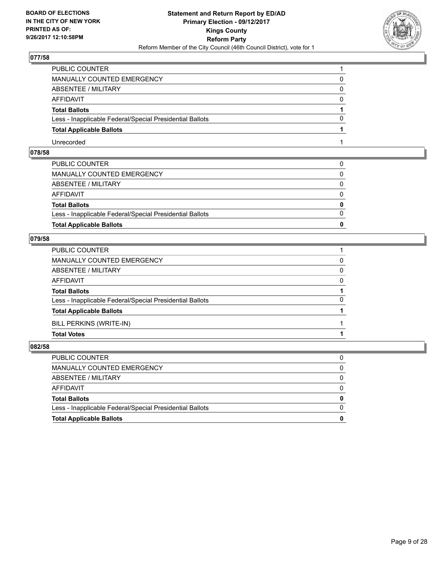

| PUBLIC COUNTER                                           |              |
|----------------------------------------------------------|--------------|
| <b>MANUALLY COUNTED EMERGENCY</b>                        |              |
| <b>ABSENTEE / MILITARY</b>                               | O            |
| AFFIDAVIT                                                | $\mathbf{O}$ |
| <b>Total Ballots</b>                                     |              |
| Less - Inapplicable Federal/Special Presidential Ballots |              |
| <b>Total Applicable Ballots</b>                          |              |
| Unrecorded                                               |              |

# **078/58**

| <b>Total Applicable Ballots</b>                          | 0            |
|----------------------------------------------------------|--------------|
| Less - Inapplicable Federal/Special Presidential Ballots | $\Omega$     |
| <b>Total Ballots</b>                                     | $\mathbf{0}$ |
| AFFIDAVIT                                                | $\Omega$     |
| ABSENTEE / MILITARY                                      | $\Omega$     |
| MANUALLY COUNTED EMERGENCY                               | $\mathbf{0}$ |
| PUBLIC COUNTER                                           | $\Omega$     |

# **079/58**

| PUBLIC COUNTER                                           |          |
|----------------------------------------------------------|----------|
| MANUALLY COUNTED EMERGENCY                               | 0        |
| ABSENTEE / MILITARY                                      | 0        |
| AFFIDAVIT                                                | $\Omega$ |
| <b>Total Ballots</b>                                     |          |
| Less - Inapplicable Federal/Special Presidential Ballots | $\Omega$ |
| <b>Total Applicable Ballots</b>                          |          |
| BILL PERKINS (WRITE-IN)                                  |          |
| <b>Total Votes</b>                                       |          |

| PUBLIC COUNTER                                           | 0            |
|----------------------------------------------------------|--------------|
| MANUALLY COUNTED EMERGENCY                               | 0            |
| ABSENTEE / MILITARY                                      | $\Omega$     |
| AFFIDAVIT                                                | $\Omega$     |
| <b>Total Ballots</b>                                     | $\mathbf{0}$ |
| Less - Inapplicable Federal/Special Presidential Ballots | $\Omega$     |
| <b>Total Applicable Ballots</b>                          | 0            |
|                                                          |              |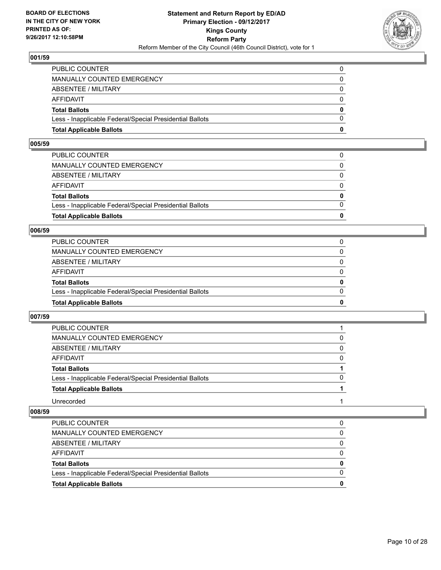

| <b>Total Applicable Ballots</b>                          | 0        |
|----------------------------------------------------------|----------|
| Less - Inapplicable Federal/Special Presidential Ballots | $\Omega$ |
| <b>Total Ballots</b>                                     | $\bf{0}$ |
| AFFIDAVIT                                                | $\Omega$ |
| <b>ABSENTEE / MILITARY</b>                               | $\Omega$ |
| <b>MANUALLY COUNTED EMERGENCY</b>                        | 0        |
| PUBLIC COUNTER                                           | 0        |

#### **005/59**

| <b>Total Applicable Ballots</b>                          | 0            |
|----------------------------------------------------------|--------------|
|                                                          |              |
| Less - Inapplicable Federal/Special Presidential Ballots | $\Omega$     |
| <b>Total Ballots</b>                                     | $\mathbf{0}$ |
| AFFIDAVIT                                                | $\Omega$     |
| ABSENTEE / MILITARY                                      | $\Omega$     |
| MANUALLY COUNTED EMERGENCY                               | 0            |
| PUBLIC COUNTER                                           |              |
|                                                          |              |

#### **006/59**

| <b>Total Applicable Ballots</b>                          | 0        |
|----------------------------------------------------------|----------|
| Less - Inapplicable Federal/Special Presidential Ballots | $\Omega$ |
| <b>Total Ballots</b>                                     | 0        |
| <b>AFFIDAVIT</b>                                         | $\Omega$ |
| ABSENTEE / MILITARY                                      | 0        |
| MANUALLY COUNTED EMERGENCY                               | $\Omega$ |
| PUBLIC COUNTER                                           |          |

#### **007/59**

| <b>PUBLIC COUNTER</b>                                    |              |
|----------------------------------------------------------|--------------|
| MANUALLY COUNTED EMERGENCY                               | 0            |
| ABSENTEE / MILITARY                                      | 0            |
| <b>AFFIDAVIT</b>                                         | 0            |
| <b>Total Ballots</b>                                     |              |
| Less - Inapplicable Federal/Special Presidential Ballots | <sup>0</sup> |
| <b>Total Applicable Ballots</b>                          |              |
| Unrecorded                                               |              |

| PUBLIC COUNTER                                           | 0 |
|----------------------------------------------------------|---|
| MANUALLY COUNTED EMERGENCY                               | 0 |
| ABSENTEE / MILITARY                                      |   |
| AFFIDAVIT                                                |   |
| <b>Total Ballots</b>                                     | 0 |
| Less - Inapplicable Federal/Special Presidential Ballots |   |
| <b>Total Applicable Ballots</b>                          | o |
|                                                          |   |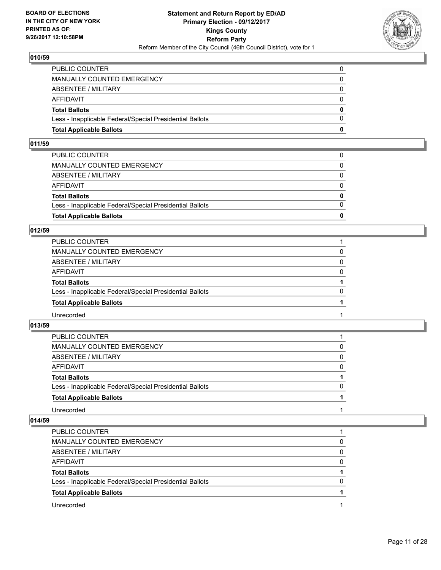

| <b>Total Applicable Ballots</b>                          | 0        |
|----------------------------------------------------------|----------|
| Less - Inapplicable Federal/Special Presidential Ballots | $\Omega$ |
| <b>Total Ballots</b>                                     | $\bf{0}$ |
| AFFIDAVIT                                                | $\Omega$ |
| <b>ABSENTEE / MILITARY</b>                               | $\Omega$ |
| <b>MANUALLY COUNTED EMERGENCY</b>                        | 0        |
| PUBLIC COUNTER                                           | 0        |

#### **011/59**

| <b>Total Applicable Ballots</b>                          | 0            |
|----------------------------------------------------------|--------------|
| Less - Inapplicable Federal/Special Presidential Ballots | $\Omega$     |
| <b>Total Ballots</b>                                     | $\mathbf{0}$ |
| AFFIDAVIT                                                | $\Omega$     |
| ABSENTEE / MILITARY                                      | $\Omega$     |
| MANUALLY COUNTED EMERGENCY                               | $\Omega$     |
| PUBLIC COUNTER                                           |              |

#### **012/59**

| PUBLIC COUNTER                                           |          |
|----------------------------------------------------------|----------|
| <b>MANUALLY COUNTED EMERGENCY</b>                        | 0        |
| <b>ABSENTEE / MILITARY</b>                               | $\Omega$ |
| <b>AFFIDAVIT</b>                                         | $\Omega$ |
| <b>Total Ballots</b>                                     |          |
| Less - Inapplicable Federal/Special Presidential Ballots | $\Omega$ |
| <b>Total Applicable Ballots</b>                          |          |
| Unrecorded                                               |          |

#### **013/59**

| PUBLIC COUNTER                                           |          |
|----------------------------------------------------------|----------|
| MANUALLY COUNTED EMERGENCY                               | 0        |
| ABSENTEE / MILITARY                                      | $\Omega$ |
| AFFIDAVIT                                                | 0        |
| <b>Total Ballots</b>                                     |          |
| Less - Inapplicable Federal/Special Presidential Ballots | 0        |
| <b>Total Applicable Ballots</b>                          |          |
| Unrecorded                                               |          |

| <b>PUBLIC COUNTER</b>                                    |   |
|----------------------------------------------------------|---|
| <b>MANUALLY COUNTED EMERGENCY</b>                        | 0 |
| ABSENTEE / MILITARY                                      | 0 |
| AFFIDAVIT                                                | 0 |
| <b>Total Ballots</b>                                     |   |
| Less - Inapplicable Federal/Special Presidential Ballots |   |
| <b>Total Applicable Ballots</b>                          |   |
| Unrecorded                                               |   |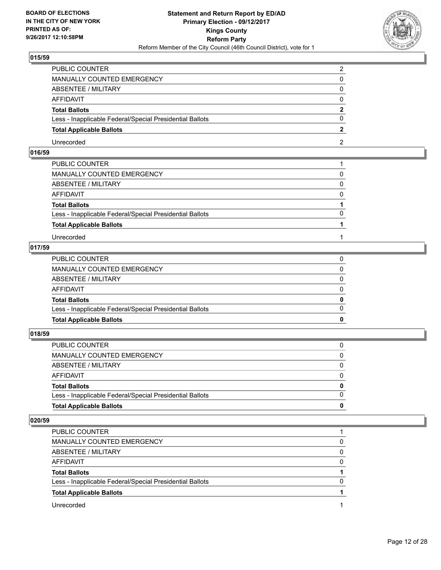

| PUBLIC COUNTER                                           |  |
|----------------------------------------------------------|--|
| <b>MANUALLY COUNTED EMERGENCY</b>                        |  |
| <b>ABSENTEE / MILITARY</b>                               |  |
| AFFIDAVIT                                                |  |
| <b>Total Ballots</b>                                     |  |
| Less - Inapplicable Federal/Special Presidential Ballots |  |
| <b>Total Applicable Ballots</b>                          |  |
| Unrecorded                                               |  |

# **016/59**

| PUBLIC COUNTER                                           |          |
|----------------------------------------------------------|----------|
| MANUALLY COUNTED EMERGENCY                               | 0        |
| ABSENTEE / MILITARY                                      | $\Omega$ |
| AFFIDAVIT                                                | $\Omega$ |
| <b>Total Ballots</b>                                     |          |
| Less - Inapplicable Federal/Special Presidential Ballots | $\Omega$ |
| <b>Total Applicable Ballots</b>                          |          |
| Unrecorded                                               |          |

# **017/59**

| <b>Total Applicable Ballots</b>                          | 0            |
|----------------------------------------------------------|--------------|
| Less - Inapplicable Federal/Special Presidential Ballots | $\Omega$     |
| <b>Total Ballots</b>                                     | $\mathbf{0}$ |
| AFFIDAVIT                                                | $\Omega$     |
| ABSENTEE / MILITARY                                      | 0            |
| MANUALLY COUNTED EMERGENCY                               | $\Omega$     |
| PUBLIC COUNTER                                           | 0            |

#### **018/59**

| PUBLIC COUNTER                                           | 0            |
|----------------------------------------------------------|--------------|
| MANUALLY COUNTED EMERGENCY                               | $\Omega$     |
| ABSENTEE / MILITARY                                      | 0            |
| AFFIDAVIT                                                | $\Omega$     |
| <b>Total Ballots</b>                                     | $\mathbf{0}$ |
| Less - Inapplicable Federal/Special Presidential Ballots | $\Omega$     |
| <b>Total Applicable Ballots</b>                          | 0            |
|                                                          |              |

| <b>PUBLIC COUNTER</b>                                    |          |
|----------------------------------------------------------|----------|
| MANUALLY COUNTED EMERGENCY                               | 0        |
| ABSENTEE / MILITARY                                      | $\Omega$ |
| AFFIDAVIT                                                | 0        |
| <b>Total Ballots</b>                                     |          |
| Less - Inapplicable Federal/Special Presidential Ballots | 0        |
| <b>Total Applicable Ballots</b>                          |          |
| Unrecorded                                               |          |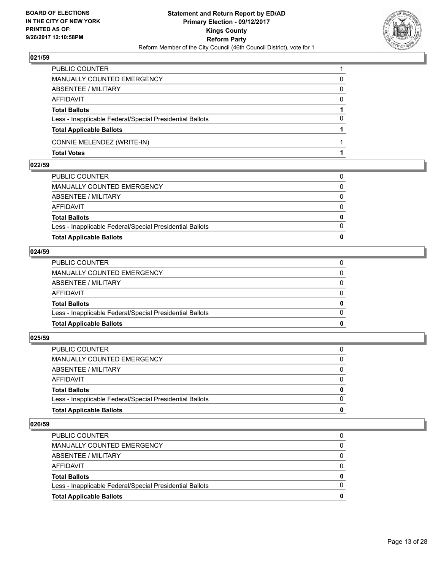

| PUBLIC COUNTER                                           |   |
|----------------------------------------------------------|---|
| <b>MANUALLY COUNTED EMERGENCY</b>                        | 0 |
| <b>ABSENTEE / MILITARY</b>                               | 0 |
| <b>AFFIDAVIT</b>                                         | 0 |
| <b>Total Ballots</b>                                     |   |
| Less - Inapplicable Federal/Special Presidential Ballots | 0 |
| <b>Total Applicable Ballots</b>                          |   |
| CONNIE MELENDEZ (WRITE-IN)                               |   |
| <b>Total Votes</b>                                       |   |

#### **022/59**

| <b>Total Applicable Ballots</b>                          | 0            |
|----------------------------------------------------------|--------------|
| Less - Inapplicable Federal/Special Presidential Ballots | $\Omega$     |
| <b>Total Ballots</b>                                     | $\mathbf{0}$ |
| AFFIDAVIT                                                | $\Omega$     |
| ABSENTEE / MILITARY                                      | $\Omega$     |
| MANUALLY COUNTED EMERGENCY                               | 0            |
| PUBLIC COUNTER                                           | 0            |

#### **024/59**

| <b>Total Applicable Ballots</b>                          | $\bf{0}$     |
|----------------------------------------------------------|--------------|
| Less - Inapplicable Federal/Special Presidential Ballots | $\Omega$     |
| <b>Total Ballots</b>                                     | $\bf{0}$     |
| AFFIDAVIT                                                | 0            |
| ABSENTEE / MILITARY                                      | $\Omega$     |
| MANUALLY COUNTED EMERGENCY                               | $\mathbf{0}$ |
| PUBLIC COUNTER                                           | 0            |
|                                                          |              |

# **025/59**

| Less - Inapplicable Federal/Special Presidential Ballots | $\Omega$     |
|----------------------------------------------------------|--------------|
| <b>Total Ballots</b>                                     | $\mathbf{0}$ |
|                                                          |              |
| AFFIDAVIT                                                | $\Omega$     |
|                                                          |              |
| ABSENTEE / MILITARY                                      | 0            |
| MANUALLY COUNTED EMERGENCY                               | $\Omega$     |
|                                                          |              |
| PUBLIC COUNTER                                           | 0            |
|                                                          |              |

| 0 |
|---|
| 0 |
|   |
|   |
| 0 |
|   |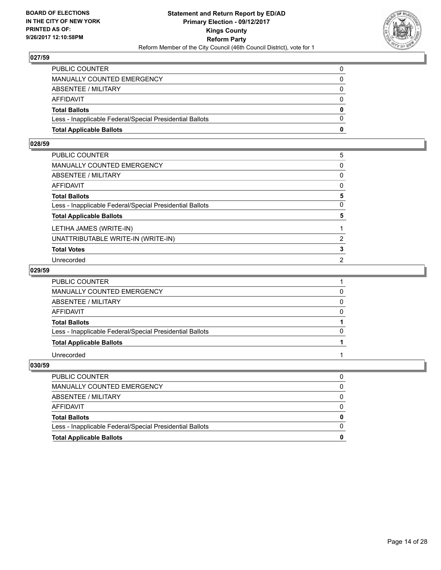

| <b>Total Applicable Ballots</b>                          | 0        |
|----------------------------------------------------------|----------|
| Less - Inapplicable Federal/Special Presidential Ballots | $\Omega$ |
| <b>Total Ballots</b>                                     | 0        |
| AFFIDAVIT                                                | 0        |
| <b>ABSENTEE / MILITARY</b>                               | $\Omega$ |
| MANUALLY COUNTED EMERGENCY                               | 0        |
| PUBLIC COUNTER                                           | 0        |

#### **028/59**

| PUBLIC COUNTER                                           | 5            |
|----------------------------------------------------------|--------------|
| MANUALLY COUNTED EMERGENCY                               | 0            |
| ABSENTEE / MILITARY                                      | 0            |
| AFFIDAVIT                                                | 0            |
| <b>Total Ballots</b>                                     | 5            |
| Less - Inapplicable Federal/Special Presidential Ballots | $\mathbf{0}$ |
| <b>Total Applicable Ballots</b>                          | 5            |
| LETIHA JAMES (WRITE-IN)                                  |              |
| UNATTRIBUTABLE WRITE-IN (WRITE-IN)                       | 2            |
| <b>Total Votes</b>                                       | 3            |
| Unrecorded                                               | 2            |
|                                                          |              |

#### **029/59**

| PUBLIC COUNTER                                           |   |
|----------------------------------------------------------|---|
| MANUALLY COUNTED EMERGENCY                               |   |
| ABSENTEE / MILITARY                                      | 0 |
| <b>AFFIDAVIT</b>                                         | 0 |
| <b>Total Ballots</b>                                     |   |
| Less - Inapplicable Federal/Special Presidential Ballots | 0 |
| <b>Total Applicable Ballots</b>                          |   |
| Unrecorded                                               |   |

| <b>Total Applicable Ballots</b>                          |  |
|----------------------------------------------------------|--|
| Less - Inapplicable Federal/Special Presidential Ballots |  |
| <b>Total Ballots</b>                                     |  |
| AFFIDAVIT                                                |  |
| ABSENTEE / MILITARY                                      |  |
| MANUALLY COUNTED EMERGENCY                               |  |
| <b>PUBLIC COUNTER</b>                                    |  |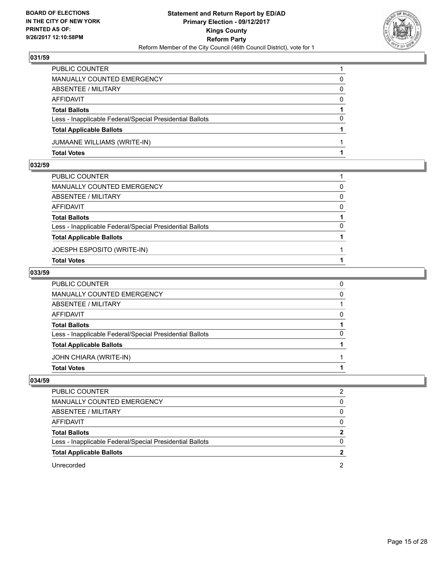

| PUBLIC COUNTER                                           |          |
|----------------------------------------------------------|----------|
| <b>MANUALLY COUNTED EMERGENCY</b>                        | 0        |
| <b>ABSENTEE / MILITARY</b>                               | 0        |
| <b>AFFIDAVIT</b>                                         | $\Omega$ |
| <b>Total Ballots</b>                                     |          |
| Less - Inapplicable Federal/Special Presidential Ballots | 0        |
| <b>Total Applicable Ballots</b>                          |          |
| <b>JUMAANE WILLIAMS (WRITE-IN)</b>                       |          |
| <b>Total Votes</b>                                       |          |

#### **032/59**

| PUBLIC COUNTER                                           |          |
|----------------------------------------------------------|----------|
| MANUALLY COUNTED EMERGENCY                               | $\Omega$ |
| ABSENTEE / MILITARY                                      | $\Omega$ |
| AFFIDAVIT                                                | $\Omega$ |
| <b>Total Ballots</b>                                     |          |
| Less - Inapplicable Federal/Special Presidential Ballots | 0        |
| <b>Total Applicable Ballots</b>                          |          |
| JOESPH ESPOSITO (WRITE-IN)                               |          |
| <b>Total Votes</b>                                       |          |
|                                                          |          |

#### **033/59**

| PUBLIC COUNTER                                           | 0            |
|----------------------------------------------------------|--------------|
| MANUALLY COUNTED EMERGENCY                               | 0            |
| ABSENTEE / MILITARY                                      |              |
| AFFIDAVIT                                                | 0            |
| <b>Total Ballots</b>                                     |              |
| Less - Inapplicable Federal/Special Presidential Ballots | $\mathbf{0}$ |
| <b>Total Applicable Ballots</b>                          |              |
| JOHN CHIARA (WRITE-IN)                                   |              |
| <b>Total Votes</b>                                       |              |
|                                                          |              |

| PUBLIC COUNTER                                           |              |
|----------------------------------------------------------|--------------|
| MANUALLY COUNTED EMERGENCY                               | O            |
| ABSENTEE / MILITARY                                      | O            |
| AFFIDAVIT                                                | <sup>0</sup> |
| <b>Total Ballots</b>                                     |              |
| Less - Inapplicable Federal/Special Presidential Ballots | O            |
| <b>Total Applicable Ballots</b>                          |              |
| Unrecorded                                               |              |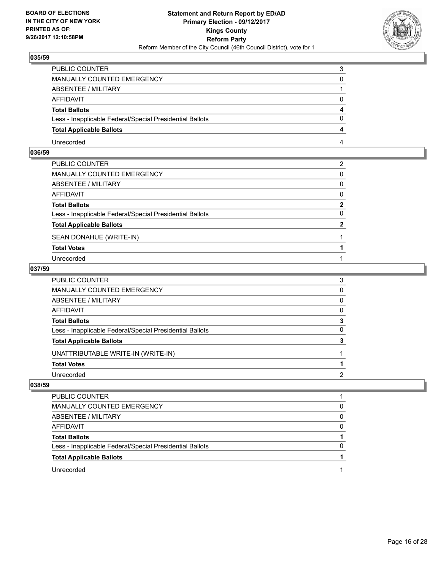

| PUBLIC COUNTER                                           | 3        |
|----------------------------------------------------------|----------|
| <b>MANUALLY COUNTED EMERGENCY</b>                        | 0        |
| ABSENTEE / MILITARY                                      |          |
| <b>AFFIDAVIT</b>                                         | 0        |
| <b>Total Ballots</b>                                     | 4        |
| Less - Inapplicable Federal/Special Presidential Ballots | $\Omega$ |
| <b>Total Applicable Ballots</b>                          | 4        |
| Unrecorded                                               | 4        |

# **036/59**

| PUBLIC COUNTER                                           | 2 |
|----------------------------------------------------------|---|
| MANUALLY COUNTED EMERGENCY                               | 0 |
| ABSENTEE / MILITARY                                      | 0 |
| AFFIDAVIT                                                | 0 |
| <b>Total Ballots</b>                                     | 2 |
| Less - Inapplicable Federal/Special Presidential Ballots | 0 |
| <b>Total Applicable Ballots</b>                          | 2 |
| SEAN DONAHUE (WRITE-IN)                                  |   |
| <b>Total Votes</b>                                       |   |
| Unrecorded                                               |   |

#### **037/59**

| PUBLIC COUNTER                                           | 3            |
|----------------------------------------------------------|--------------|
| MANUALLY COUNTED EMERGENCY                               | $\Omega$     |
| ABSENTEE / MILITARY                                      | 0            |
| AFFIDAVIT                                                | $\mathbf{0}$ |
| Total Ballots                                            | 3            |
| Less - Inapplicable Federal/Special Presidential Ballots | 0            |
| <b>Total Applicable Ballots</b>                          |              |
| UNATTRIBUTABLE WRITE-IN (WRITE-IN)                       |              |
| <b>Total Votes</b>                                       |              |
| Unrecorded                                               | 2            |

| PUBLIC COUNTER                                           |   |
|----------------------------------------------------------|---|
| MANUALLY COUNTED EMERGENCY                               | O |
| ABSENTEE / MILITARY                                      | 0 |
| AFFIDAVIT                                                | O |
| <b>Total Ballots</b>                                     |   |
| Less - Inapplicable Federal/Special Presidential Ballots |   |
| <b>Total Applicable Ballots</b>                          |   |
| Unrecorded                                               |   |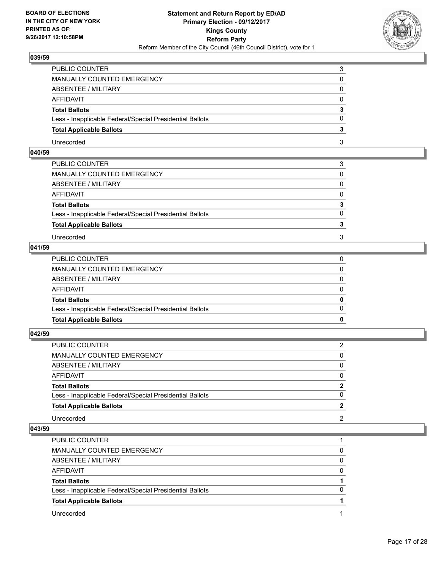

| PUBLIC COUNTER                                           |  |
|----------------------------------------------------------|--|
| MANUALLY COUNTED EMERGENCY                               |  |
| ABSENTEE / MILITARY                                      |  |
| AFFIDAVIT                                                |  |
| <b>Total Ballots</b>                                     |  |
| Less - Inapplicable Federal/Special Presidential Ballots |  |
| <b>Total Applicable Ballots</b>                          |  |
| Unrecorded                                               |  |

# **040/59**

| MANUALLY COUNTED EMERGENCY<br>ABSENTEE / MILITARY<br>AFFIDAVIT<br><b>Total Ballots</b><br>Less - Inapplicable Federal/Special Presidential Ballots<br><b>Total Applicable Ballots</b> | 0            |
|---------------------------------------------------------------------------------------------------------------------------------------------------------------------------------------|--------------|
|                                                                                                                                                                                       |              |
|                                                                                                                                                                                       | 0            |
|                                                                                                                                                                                       | $\mathbf{0}$ |
|                                                                                                                                                                                       | 3            |
|                                                                                                                                                                                       | $\Omega$     |
|                                                                                                                                                                                       |              |
| Unrecorded<br>3                                                                                                                                                                       | 3            |

# **041/59**

| <b>Total Applicable Ballots</b>                          | 0            |
|----------------------------------------------------------|--------------|
| Less - Inapplicable Federal/Special Presidential Ballots | $\Omega$     |
| <b>Total Ballots</b>                                     | $\mathbf{0}$ |
| AFFIDAVIT                                                | $\Omega$     |
| ABSENTEE / MILITARY                                      | 0            |
| MANUALLY COUNTED EMERGENCY                               | 0            |
| PUBLIC COUNTER                                           |              |

**042/59** 

| PUBLIC COUNTER                                           | 2            |
|----------------------------------------------------------|--------------|
| MANUALLY COUNTED EMERGENCY                               | 0            |
| ABSENTEE / MILITARY                                      | 0            |
| AFFIDAVIT                                                | $\Omega$     |
| <b>Total Ballots</b>                                     | $\mathbf{2}$ |
| Less - Inapplicable Federal/Special Presidential Ballots | $\Omega$     |
| <b>Total Applicable Ballots</b>                          |              |
| Unrecorded                                               | 2            |

| <b>PUBLIC COUNTER</b>                                    |              |
|----------------------------------------------------------|--------------|
| MANUALLY COUNTED EMERGENCY                               | 0            |
| ABSENTEE / MILITARY                                      | 0            |
| AFFIDAVIT                                                | 0            |
| <b>Total Ballots</b>                                     |              |
| Less - Inapplicable Federal/Special Presidential Ballots | <sup>0</sup> |
| <b>Total Applicable Ballots</b>                          |              |
| Unrecorded                                               |              |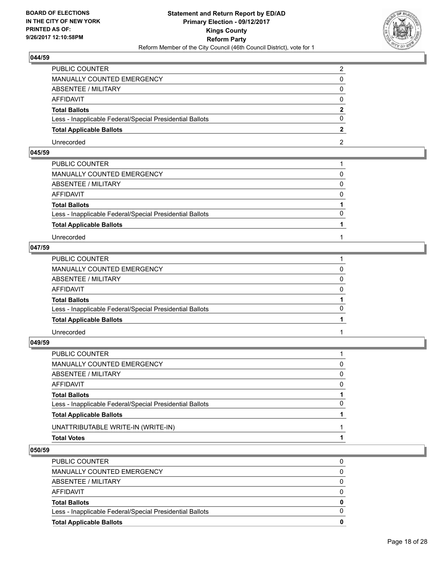

| PUBLIC COUNTER                                           |  |
|----------------------------------------------------------|--|
| <b>MANUALLY COUNTED EMERGENCY</b>                        |  |
| <b>ABSENTEE / MILITARY</b>                               |  |
| AFFIDAVIT                                                |  |
| <b>Total Ballots</b>                                     |  |
| Less - Inapplicable Federal/Special Presidential Ballots |  |
| <b>Total Applicable Ballots</b>                          |  |
| Unrecorded                                               |  |

# **045/59**

| PUBLIC COUNTER                                           |          |
|----------------------------------------------------------|----------|
| MANUALLY COUNTED EMERGENCY                               | 0        |
| ABSENTEE / MILITARY                                      | $\Omega$ |
| AFFIDAVIT                                                | $\Omega$ |
| <b>Total Ballots</b>                                     |          |
| Less - Inapplicable Federal/Special Presidential Ballots | $\Omega$ |
| <b>Total Applicable Ballots</b>                          |          |
| Unrecorded                                               |          |

# **047/59**

| PUBLIC COUNTER                                           |              |
|----------------------------------------------------------|--------------|
| MANUALLY COUNTED EMERGENCY                               | 0            |
| ABSENTEE / MILITARY                                      | 0            |
| AFFIDAVIT                                                | $\mathbf{0}$ |
| <b>Total Ballots</b>                                     |              |
| Less - Inapplicable Federal/Special Presidential Ballots | $\Omega$     |
| <b>Total Applicable Ballots</b>                          |              |
| Unrecorded                                               |              |

# **049/59**

| PUBLIC COUNTER                                           |          |
|----------------------------------------------------------|----------|
| MANUALLY COUNTED EMERGENCY                               | 0        |
| ABSENTEE / MILITARY                                      | 0        |
| AFFIDAVIT                                                | $\Omega$ |
| <b>Total Ballots</b>                                     |          |
| Less - Inapplicable Federal/Special Presidential Ballots | 0        |
| <b>Total Applicable Ballots</b>                          |          |
| UNATTRIBUTABLE WRITE-IN (WRITE-IN)                       |          |
| Total Votes                                              |          |
|                                                          |          |

| <b>Total Applicable Ballots</b>                          | o        |
|----------------------------------------------------------|----------|
| Less - Inapplicable Federal/Special Presidential Ballots |          |
| <b>Total Ballots</b>                                     | 0        |
| AFFIDAVIT                                                | 0        |
| ABSENTEE / MILITARY                                      | $\Omega$ |
| MANUALLY COUNTED EMERGENCY                               | 0        |
| <b>PUBLIC COUNTER</b>                                    |          |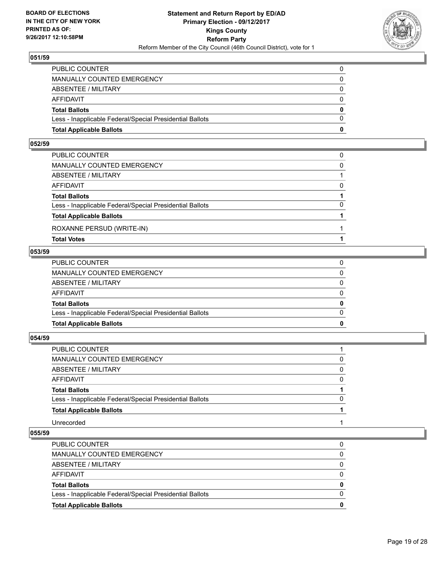

| <b>Total Applicable Ballots</b>                          | 0        |
|----------------------------------------------------------|----------|
| Less - Inapplicable Federal/Special Presidential Ballots | $\Omega$ |
| <b>Total Ballots</b>                                     | 0        |
| AFFIDAVIT                                                | $\Omega$ |
| <b>ABSENTEE / MILITARY</b>                               | $\Omega$ |
| MANUALLY COUNTED EMERGENCY                               | 0        |
| PUBLIC COUNTER                                           | 0        |

#### **052/59**

| PUBLIC COUNTER                                           |          |
|----------------------------------------------------------|----------|
| MANUALLY COUNTED EMERGENCY                               | $\Omega$ |
| ABSENTEE / MILITARY                                      |          |
| AFFIDAVIT                                                | $\Omega$ |
| <b>Total Ballots</b>                                     |          |
| Less - Inapplicable Federal/Special Presidential Ballots | $\Omega$ |
| <b>Total Applicable Ballots</b>                          |          |
| ROXANNE PERSUD (WRITE-IN)                                |          |
| <b>Total Votes</b>                                       |          |

#### **053/59**

| <b>Total Applicable Ballots</b>                          | 0            |
|----------------------------------------------------------|--------------|
| Less - Inapplicable Federal/Special Presidential Ballots | $\Omega$     |
| <b>Total Ballots</b>                                     | $\mathbf{0}$ |
| AFFIDAVIT                                                | $\Omega$     |
| ABSENTEE / MILITARY                                      | $\Omega$     |
| MANUALLY COUNTED EMERGENCY                               | $\Omega$     |
| PUBLIC COUNTER                                           | 0            |
|                                                          |              |

# **054/59**

| PUBLIC COUNTER                                           |          |
|----------------------------------------------------------|----------|
| MANUALLY COUNTED EMERGENCY                               | 0        |
| ABSENTEE / MILITARY                                      | 0        |
| <b>AFFIDAVIT</b>                                         | $\Omega$ |
| <b>Total Ballots</b>                                     |          |
| Less - Inapplicable Federal/Special Presidential Ballots | 0        |
| <b>Total Applicable Ballots</b>                          |          |
| Unrecorded                                               |          |

| <b>PUBLIC COUNTER</b>                                    |   |
|----------------------------------------------------------|---|
| MANUALLY COUNTED EMERGENCY                               | 0 |
| ABSENTEE / MILITARY                                      | 0 |
| AFFIDAVIT                                                |   |
| <b>Total Ballots</b>                                     | 0 |
| Less - Inapplicable Federal/Special Presidential Ballots | 0 |
| <b>Total Applicable Ballots</b>                          | 0 |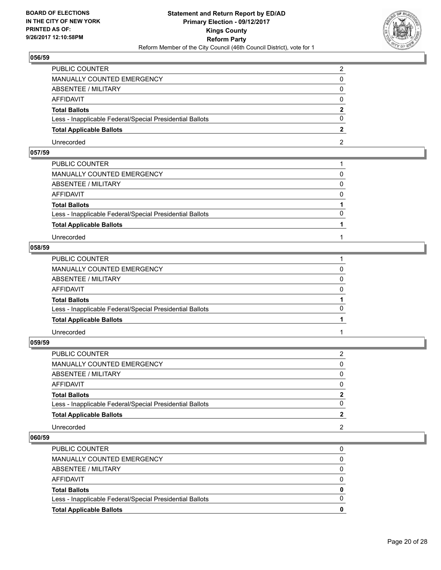

| PUBLIC COUNTER                                           |  |
|----------------------------------------------------------|--|
| <b>MANUALLY COUNTED EMERGENCY</b>                        |  |
| ABSENTEE / MILITARY                                      |  |
| AFFIDAVIT                                                |  |
| <b>Total Ballots</b>                                     |  |
| Less - Inapplicable Federal/Special Presidential Ballots |  |
| <b>Total Applicable Ballots</b>                          |  |
| Unrecorded                                               |  |

# **057/59**

| PUBLIC COUNTER                                           |          |
|----------------------------------------------------------|----------|
| MANUALLY COUNTED EMERGENCY                               | 0        |
| ABSENTEE / MILITARY                                      | $\Omega$ |
| AFFIDAVIT                                                | $\Omega$ |
| <b>Total Ballots</b>                                     |          |
| Less - Inapplicable Federal/Special Presidential Ballots | $\Omega$ |
| <b>Total Applicable Ballots</b>                          |          |
| Unrecorded                                               |          |

# **058/59**

| PUBLIC COUNTER                                           |          |
|----------------------------------------------------------|----------|
| MANUALLY COUNTED EMERGENCY                               | 0        |
| <b>ABSENTEE / MILITARY</b>                               | $\Omega$ |
| AFFIDAVIT                                                | $\Omega$ |
| <b>Total Ballots</b>                                     |          |
| Less - Inapplicable Federal/Special Presidential Ballots | $\Omega$ |
| <b>Total Applicable Ballots</b>                          |          |
| Unrecorded                                               |          |
|                                                          |          |

**059/59** 

| PUBLIC COUNTER                                           | 2              |
|----------------------------------------------------------|----------------|
| MANUALLY COUNTED EMERGENCY                               | 0              |
| ABSENTEE / MILITARY                                      | 0              |
| AFFIDAVIT                                                | 0              |
| <b>Total Ballots</b>                                     | $\overline{2}$ |
| Less - Inapplicable Federal/Special Presidential Ballots | 0              |
| <b>Total Applicable Ballots</b>                          | 2              |
| Unrecorded                                               | 2              |

| <b>Total Applicable Ballots</b>                          |  |
|----------------------------------------------------------|--|
| Less - Inapplicable Federal/Special Presidential Ballots |  |
| <b>Total Ballots</b>                                     |  |
| AFFIDAVIT                                                |  |
| ABSENTEE / MILITARY                                      |  |
| MANUALLY COUNTED EMERGENCY                               |  |
| <b>PUBLIC COUNTER</b>                                    |  |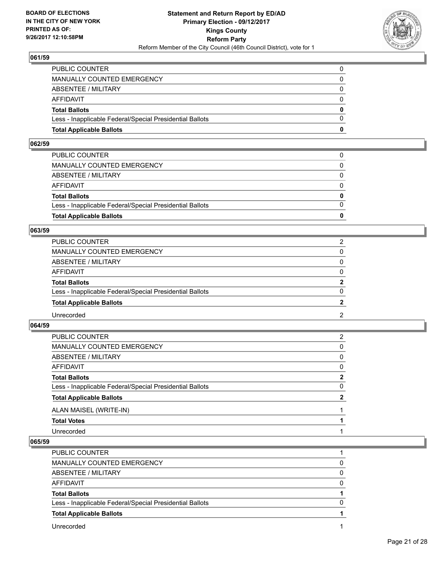

| <b>Total Applicable Ballots</b>                          | 0            |
|----------------------------------------------------------|--------------|
| Less - Inapplicable Federal/Special Presidential Ballots | $\Omega$     |
| <b>Total Ballots</b>                                     | $\mathbf{0}$ |
| <b>AFFIDAVIT</b>                                         | 0            |
| <b>ABSENTEE / MILITARY</b>                               | $\Omega$     |
| <b>MANUALLY COUNTED EMERGENCY</b>                        | $\Omega$     |
| PUBLIC COUNTER                                           |              |

#### **062/59**

| PUBLIC COUNTER                                           | 0            |
|----------------------------------------------------------|--------------|
| MANUALLY COUNTED EMERGENCY                               | 0            |
| ABSENTEE / MILITARY                                      | $\Omega$     |
| AFFIDAVIT                                                | $\Omega$     |
| <b>Total Ballots</b>                                     | $\mathbf{0}$ |
| Less - Inapplicable Federal/Special Presidential Ballots | $\Omega$     |
| <b>Total Applicable Ballots</b>                          | 0            |
|                                                          |              |

#### **063/59**

| PUBLIC COUNTER                                           | 2            |
|----------------------------------------------------------|--------------|
| <b>MANUALLY COUNTED EMERGENCY</b>                        | 0            |
| <b>ABSENTEE / MILITARY</b>                               | $\Omega$     |
| <b>AFFIDAVIT</b>                                         | $\Omega$     |
| <b>Total Ballots</b>                                     | $\mathbf{2}$ |
| Less - Inapplicable Federal/Special Presidential Ballots | $\Omega$     |
| <b>Total Applicable Ballots</b>                          |              |
| Unrecorded                                               | 2            |

#### **064/59**

| PUBLIC COUNTER                                           | 2           |
|----------------------------------------------------------|-------------|
| MANUALLY COUNTED EMERGENCY                               | 0           |
| <b>ABSENTEE / MILITARY</b>                               | 0           |
| <b>AFFIDAVIT</b>                                         | 0           |
| <b>Total Ballots</b>                                     | $\mathbf 2$ |
| Less - Inapplicable Federal/Special Presidential Ballots | 0           |
| <b>Total Applicable Ballots</b>                          | 2           |
| ALAN MAISEL (WRITE-IN)                                   |             |
| <b>Total Votes</b>                                       |             |
| Unrecorded                                               |             |

| PUBLIC COUNTER                                           |   |
|----------------------------------------------------------|---|
| MANUALLY COUNTED EMERGENCY                               |   |
| ABSENTEE / MILITARY                                      | 0 |
| AFFIDAVIT                                                | 0 |
| <b>Total Ballots</b>                                     |   |
| Less - Inapplicable Federal/Special Presidential Ballots | 0 |
| <b>Total Applicable Ballots</b>                          |   |
| Unrecorded                                               |   |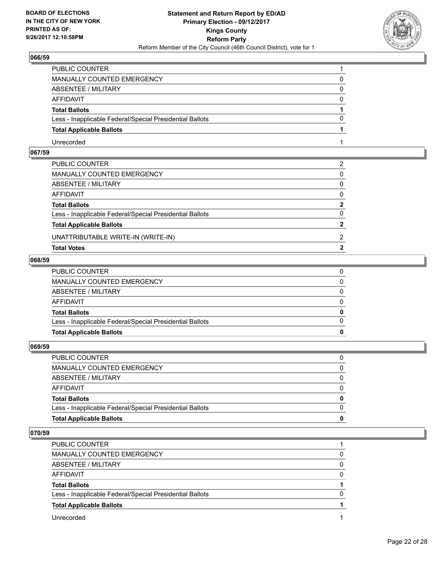

| PUBLIC COUNTER                                           |   |
|----------------------------------------------------------|---|
| <b>MANUALLY COUNTED EMERGENCY</b>                        |   |
| <b>ABSENTEE / MILITARY</b>                               | 0 |
| AFFIDAVIT                                                | O |
| <b>Total Ballots</b>                                     |   |
| Less - Inapplicable Federal/Special Presidential Ballots |   |
| <b>Total Applicable Ballots</b>                          |   |
| Unrecorded                                               |   |

# **067/59**

| <b>Total Votes</b>                                       | 2              |
|----------------------------------------------------------|----------------|
| UNATTRIBUTABLE WRITE-IN (WRITE-IN)                       | 2              |
| <b>Total Applicable Ballots</b>                          | $\overline{2}$ |
| Less - Inapplicable Federal/Special Presidential Ballots | $\Omega$       |
| <b>Total Ballots</b>                                     | $\mathbf{2}$   |
| AFFIDAVIT                                                | $\mathbf{0}$   |
| ABSENTEE / MILITARY                                      | $\Omega$       |
| MANUALLY COUNTED EMERGENCY                               | 0              |
| PUBLIC COUNTER                                           | 2              |

# **068/59**

| <b>Total Applicable Ballots</b>                          |  |
|----------------------------------------------------------|--|
| Less - Inapplicable Federal/Special Presidential Ballots |  |
| <b>Total Ballots</b>                                     |  |
| AFFIDAVIT                                                |  |
| ABSENTEE / MILITARY                                      |  |
| MANUALLY COUNTED EMERGENCY                               |  |
| PUBLIC COUNTER                                           |  |

# **069/59**

| PUBLIC COUNTER                                           | 0            |
|----------------------------------------------------------|--------------|
| MANUALLY COUNTED EMERGENCY                               | $\Omega$     |
| ABSENTEE / MILITARY                                      | 0            |
| AFFIDAVIT                                                | $\Omega$     |
| <b>Total Ballots</b>                                     | $\mathbf{0}$ |
| Less - Inapplicable Federal/Special Presidential Ballots | $\Omega$     |
| <b>Total Applicable Ballots</b>                          | 0            |
|                                                          |              |

| PUBLIC COUNTER                                           |   |
|----------------------------------------------------------|---|
| <b>MANUALLY COUNTED EMERGENCY</b>                        |   |
| ABSENTEE / MILITARY                                      | O |
| AFFIDAVIT                                                | O |
| <b>Total Ballots</b>                                     |   |
| Less - Inapplicable Federal/Special Presidential Ballots |   |
| <b>Total Applicable Ballots</b>                          |   |
| Unrecorded                                               |   |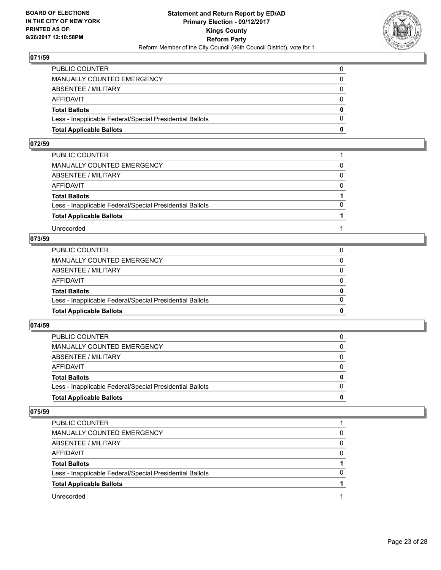

| <b>Total Applicable Ballots</b>                          | 0        |
|----------------------------------------------------------|----------|
| Less - Inapplicable Federal/Special Presidential Ballots | $\Omega$ |
| <b>Total Ballots</b>                                     | $\bf{0}$ |
| <b>AFFIDAVIT</b>                                         | 0        |
| <b>ABSENTEE / MILITARY</b>                               | $\Omega$ |
| <b>MANUALLY COUNTED EMERGENCY</b>                        | 0        |
| PUBLIC COUNTER                                           |          |

#### **072/59**

| PUBLIC COUNTER                                           |          |
|----------------------------------------------------------|----------|
| MANUALLY COUNTED EMERGENCY                               | 0        |
| ABSENTEE / MILITARY                                      | $\Omega$ |
| AFFIDAVIT                                                | $\Omega$ |
| <b>Total Ballots</b>                                     |          |
| Less - Inapplicable Federal/Special Presidential Ballots | $\Omega$ |
| <b>Total Applicable Ballots</b>                          |          |
| Unrecorded                                               |          |

# **073/59**

| <b>Total Applicable Ballots</b>                          | 0        |
|----------------------------------------------------------|----------|
| Less - Inapplicable Federal/Special Presidential Ballots | $\Omega$ |
| <b>Total Ballots</b>                                     | $\bf{0}$ |
| AFFIDAVIT                                                | $\Omega$ |
| ABSENTEE / MILITARY                                      | $\Omega$ |
| MANUALLY COUNTED EMERGENCY                               | $\Omega$ |
| PUBLIC COUNTER                                           |          |

#### **074/59**

| <b>Total Applicable Ballots</b>                          | 0        |
|----------------------------------------------------------|----------|
| Less - Inapplicable Federal/Special Presidential Ballots | 0        |
| <b>Total Ballots</b>                                     | 0        |
| AFFIDAVIT                                                | 0        |
| ABSENTEE / MILITARY                                      | $\Omega$ |
| MANUALLY COUNTED EMERGENCY                               | 0        |
| PUBLIC COUNTER                                           |          |

| PUBLIC COUNTER                                           |   |
|----------------------------------------------------------|---|
| MANUALLY COUNTED EMERGENCY                               |   |
| ABSENTEE / MILITARY                                      | O |
| AFFIDAVIT                                                |   |
| <b>Total Ballots</b>                                     |   |
| Less - Inapplicable Federal/Special Presidential Ballots | O |
| <b>Total Applicable Ballots</b>                          |   |
| Unrecorded                                               |   |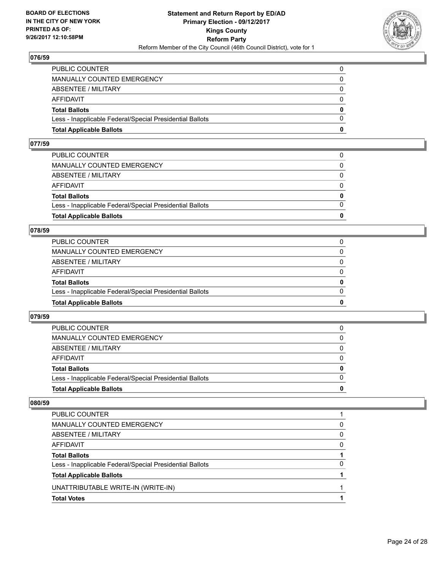

| <b>Total Applicable Ballots</b>                          | 0        |
|----------------------------------------------------------|----------|
| Less - Inapplicable Federal/Special Presidential Ballots | $\Omega$ |
| <b>Total Ballots</b>                                     | $\bf{0}$ |
| AFFIDAVIT                                                | $\Omega$ |
| <b>ABSENTEE / MILITARY</b>                               | $\Omega$ |
| <b>MANUALLY COUNTED EMERGENCY</b>                        | 0        |
| PUBLIC COUNTER                                           | 0        |

#### **077/59**

| <b>Total Applicable Ballots</b>                          | 0            |
|----------------------------------------------------------|--------------|
|                                                          |              |
| Less - Inapplicable Federal/Special Presidential Ballots | $\Omega$     |
| <b>Total Ballots</b>                                     | $\mathbf{0}$ |
| AFFIDAVIT                                                | $\Omega$     |
| ABSENTEE / MILITARY                                      | $\Omega$     |
| MANUALLY COUNTED EMERGENCY                               | 0            |
| PUBLIC COUNTER                                           |              |
|                                                          |              |

#### **078/59**

| <b>Total Applicable Ballots</b>                          | 0        |
|----------------------------------------------------------|----------|
| Less - Inapplicable Federal/Special Presidential Ballots | 0        |
| <b>Total Ballots</b>                                     | 0        |
| AFFIDAVIT                                                | 0        |
| <b>ABSENTEE / MILITARY</b>                               | $\Omega$ |
| MANUALLY COUNTED EMERGENCY                               |          |
| PUBLIC COUNTER                                           |          |

#### **079/59**

| <b>Total Applicable Ballots</b>                          | o            |
|----------------------------------------------------------|--------------|
| Less - Inapplicable Federal/Special Presidential Ballots | <sup>0</sup> |
| <b>Total Ballots</b>                                     | 0            |
| <b>AFFIDAVIT</b>                                         |              |
| ABSENTEE / MILITARY                                      | 0            |
| <b>MANUALLY COUNTED EMERGENCY</b>                        | 0            |
| <b>PUBLIC COUNTER</b>                                    |              |

| <b>Total Votes</b>                                       |   |
|----------------------------------------------------------|---|
| UNATTRIBUTABLE WRITE-IN (WRITE-IN)                       |   |
| <b>Total Applicable Ballots</b>                          |   |
| Less - Inapplicable Federal/Special Presidential Ballots | 0 |
| <b>Total Ballots</b>                                     |   |
| AFFIDAVIT                                                | 0 |
| ABSENTEE / MILITARY                                      | 0 |
| MANUALLY COUNTED EMERGENCY                               | 0 |
| PUBLIC COUNTER                                           |   |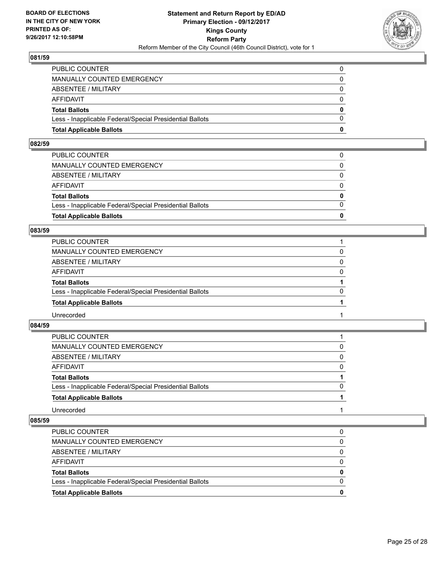

| <b>Total Applicable Ballots</b>                          | 0        |
|----------------------------------------------------------|----------|
| Less - Inapplicable Federal/Special Presidential Ballots | $\Omega$ |
| <b>Total Ballots</b>                                     | $\bf{0}$ |
| <b>AFFIDAVIT</b>                                         | 0        |
| <b>ABSENTEE / MILITARY</b>                               | $\Omega$ |
| <b>MANUALLY COUNTED EMERGENCY</b>                        | $\Omega$ |
| PUBLIC COUNTER                                           |          |

# **082/59**

| <b>Total Applicable Ballots</b>                          | 0            |
|----------------------------------------------------------|--------------|
|                                                          |              |
| Less - Inapplicable Federal/Special Presidential Ballots | $\Omega$     |
| <b>Total Ballots</b>                                     | $\mathbf{0}$ |
| AFFIDAVIT                                                | $\Omega$     |
| ABSENTEE / MILITARY                                      | $\Omega$     |
| MANUALLY COUNTED EMERGENCY                               | 0            |
| PUBLIC COUNTER                                           |              |
|                                                          |              |

#### **083/59**

| MANUALLY COUNTED EMERGENCY<br>ABSENTEE / MILITARY<br>AFFIDAVIT<br><b>Total Ballots</b><br>Less - Inapplicable Federal/Special Presidential Ballots<br><b>Total Applicable Ballots</b><br>Unrecorded | PUBLIC COUNTER |          |
|-----------------------------------------------------------------------------------------------------------------------------------------------------------------------------------------------------|----------------|----------|
|                                                                                                                                                                                                     |                | 0        |
|                                                                                                                                                                                                     |                | $\Omega$ |
|                                                                                                                                                                                                     |                | 0        |
|                                                                                                                                                                                                     |                |          |
|                                                                                                                                                                                                     |                | $\Omega$ |
|                                                                                                                                                                                                     |                |          |
|                                                                                                                                                                                                     |                |          |

#### **084/59**

| PUBLIC COUNTER                                           |          |
|----------------------------------------------------------|----------|
| MANUALLY COUNTED EMERGENCY                               | 0        |
| ABSENTEE / MILITARY                                      | $\Omega$ |
| AFFIDAVIT                                                | 0        |
| <b>Total Ballots</b>                                     |          |
| Less - Inapplicable Federal/Special Presidential Ballots | 0        |
| <b>Total Applicable Ballots</b>                          |          |
| Unrecorded                                               |          |

| Less - Inapplicable Federal/Special Presidential Ballots<br><b>Total Applicable Ballots</b> | <sup>0</sup><br>o |
|---------------------------------------------------------------------------------------------|-------------------|
| <b>Total Ballots</b>                                                                        | 0                 |
| AFFIDAVIT                                                                                   | 0                 |
| ABSENTEE / MILITARY                                                                         | 0                 |
| MANUALLY COUNTED EMERGENCY                                                                  | 0                 |
| PUBLIC COUNTER                                                                              |                   |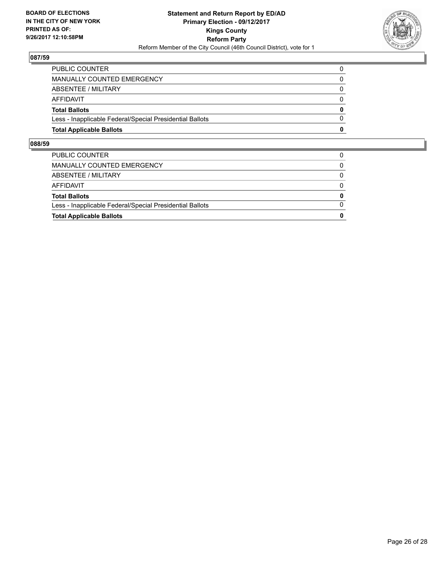

| <b>Total Applicable Ballots</b>                          | 0        |
|----------------------------------------------------------|----------|
| Less - Inapplicable Federal/Special Presidential Ballots | 0        |
| <b>Total Ballots</b>                                     | $\bf{0}$ |
| AFFIDAVIT                                                | 0        |
| ABSENTEE / MILITARY                                      | $\Omega$ |
| MANUALLY COUNTED EMERGENCY                               |          |
| <b>PUBLIC COUNTER</b>                                    |          |

| <b>Total Applicable Ballots</b>                          | 0        |
|----------------------------------------------------------|----------|
| Less - Inapplicable Federal/Special Presidential Ballots | $\Omega$ |
| <b>Total Ballots</b>                                     | $\bf{0}$ |
| <b>AFFIDAVIT</b>                                         | $\Omega$ |
| ABSENTEE / MILITARY                                      | $\Omega$ |
| <b>MANUALLY COUNTED EMERGENCY</b>                        | 0        |
| PUBLIC COUNTER                                           |          |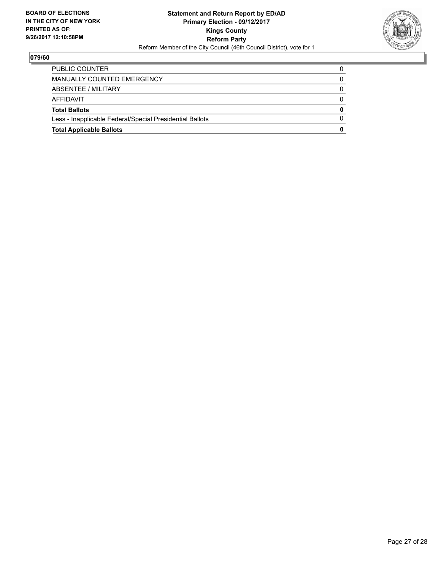

| <b>Total Applicable Ballots</b>                          | 0 |
|----------------------------------------------------------|---|
| Less - Inapplicable Federal/Special Presidential Ballots |   |
| <b>Total Ballots</b>                                     | 0 |
| AFFIDAVIT                                                | 0 |
| ABSENTEE / MILITARY                                      | 0 |
| MANUALLY COUNTED EMERGENCY                               |   |
| <b>PUBLIC COUNTER</b>                                    |   |